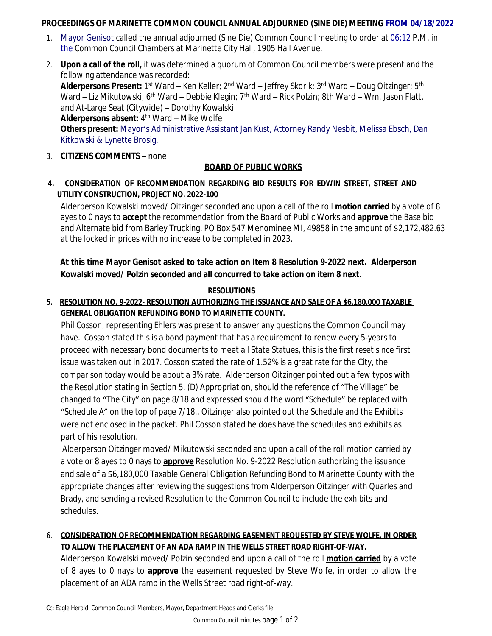### **PROCEEDINGS OF MARINETTE COMMON COUNCIL ANNUAL ADJOURNED (SINE DIE) MEETING FROM 04/18/2022**

- 1. Mayor Genisot called the annual adjourned (Sine Die) Common Council meeting to order at 06:12 P.M. in the Common Council Chambers at Marinette City Hall, 1905 Hall Avenue.
- 2. **Upon a call of the roll,** it was determined a quorum of Common Council members were present and the following attendance was recorded: **Alderpersons Present:** 1<sup>st</sup> Ward – Ken Keller; 2<sup>nd</sup> Ward – Jeffrey Skorik; 3<sup>rd</sup> Ward – Doug Oitzinger; 5<sup>th</sup> Ward – Liz Mikutowski; 6<sup>th</sup> Ward – Debbie Klegin; 7<sup>th</sup> Ward – Rick Polzin; 8th Ward – Wm. Jason Flatt. and At-Large Seat (Citywide) – Dorothy Kowalski. Alderpersons absent: 4<sup>th</sup> Ward – Mike Wolfe **Others present:** Mayor's Administrative Assistant Jan Kust, Attorney Randy Nesbit, Melissa Ebsch, Dan Kitkowski & Lynette Brosig.
- 3. **CITIZENS COMMENTS –** none

# **BOARD OF PUBLIC WORKS**

## **4***.* **CONSIDERATION OF RECOMMENDATION REGARDING BID RESULTS FOR EDWIN STREET, STREET AND UTILITY CONSTRUCTION, PROJECT NO. 2022-100**

Alderperson Kowalski moved/ Oitzinger seconded and upon a call of the roll **motion carried** by a vote of 8 ayes to 0 nays to **accept** the recommendation from the Board of Public Works and **approve** the Base bid and Alternate bid from Barley Trucking, PO Box 547 Menominee MI, 49858 in the amount of \$2,172,482.63 at the locked in prices with no increase to be completed in 2023.

# **At this time Mayor Genisot asked to take action on Item 8 Resolution 9-2022 next. Alderperson Kowalski moved/ Polzin seconded and all concurred to take action on item 8 next.**

### **RESOLUTIONS**

## **5. RESOLUTION NO. 9-2022- RESOLUTION AUTHORIZING THE ISSUANCE AND SALE OF A \$6,180,000 TAXABLE GENERAL OBLIGATION REFUNDING BOND TO MARINETTE COUNTY.**

Phil Cosson, representing Ehlers was present to answer any questions the Common Council may have. Cosson stated this is a bond payment that has a requirement to renew every 5-years to proceed with necessary bond documents to meet all State Statues, this is the first reset since first issue was taken out in 2017. Cosson stated the rate of 1.52% is a great rate for the City, the comparison today would be about a 3% rate. Alderperson Oitzinger pointed out a few typos with the Resolution stating in Section 5, (D) Appropriation, should the reference of "The Village" be changed to "The City" on page 8/18 and expressed should the word "Schedule" be replaced with "Schedule A" on the top of page 7/18., Oitzinger also pointed out the Schedule and the Exhibits were not enclosed in the packet. Phil Cosson stated he does have the schedules and exhibits as part of his resolution.

 Alderperson Oitzinger moved/ Mikutowski seconded and upon a call of the roll motion carried by a vote or 8 ayes to 0 nays to **approve** Resolution No. 9-2022 Resolution authorizing the issuance and sale of a \$6,180,000 Taxable General Obligation Refunding Bond to Marinette County with the appropriate changes after reviewing the suggestions from Alderperson Oitzinger with Quarles and Brady, and sending a revised Resolution to the Common Council to include the exhibits and schedules.

## 6. **CONSIDERATION OF RECOMMENDATION REGARDING EASEMENT REQUESTED BY STEVE WOLFE, IN ORDER TO ALLOW THE PLACEMENT OF AN ADA RAMP IN THE WELLS STREET ROAD RIGHT-OF-WAY.**

Alderperson Kowalski moved/ Polzin seconded and upon a call of the roll **motion carried** by a vote of 8 ayes to 0 nays to **approve** the easement requested by Steve Wolfe, in order to allow the placement of an ADA ramp in the Wells Street road right-of-way.